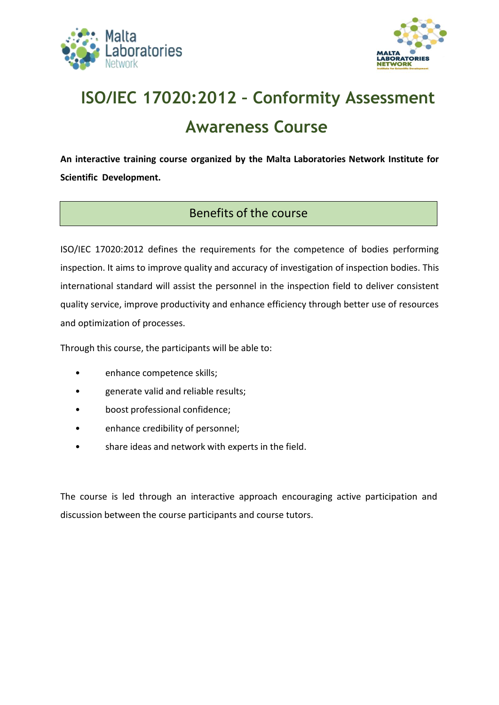



## **ISO/IEC 17020:2012 – Conformity Assessment Awareness Course**

**An interactive training course organized by the Malta Laboratories Network Institute for Scientific Development.**

## Benefits of the course

ISO/IEC 17020:2012 defines the requirements for the competence of bodies performing inspection. It aims to improve quality and accuracy of investigation of inspection bodies. This international standard will assist the personnel in the inspection field to deliver consistent quality service, improve productivity and enhance efficiency through better use of resources and optimization of processes.

Through this course, the participants will be able to:

- enhance competence skills;
- generate valid and reliable results;
- boost professional confidence;
- enhance credibility of personnel;
- share ideas and network with experts in the field.

The course is led through an interactive approach encouraging active participation and discussion between the course participants and course tutors.